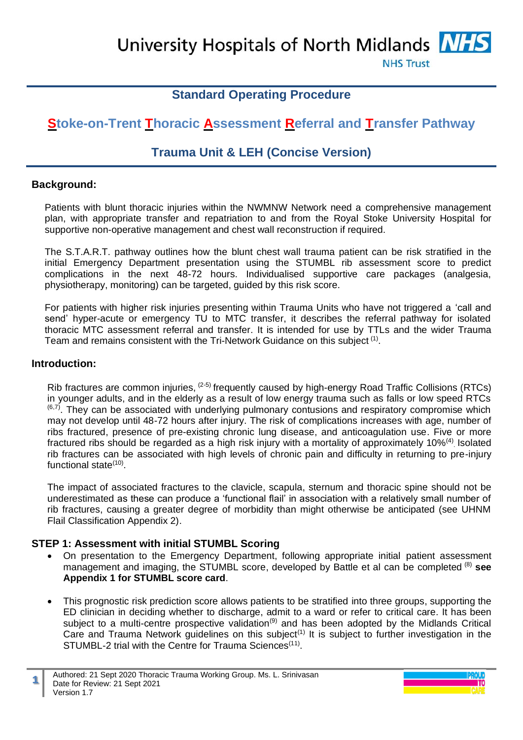University Hospitals of North Midlands MHS

**NHS Trust** 

# **Standard Operating Procedure**

# **Stoke-on-Trent Thoracic Assessment Referral and Transfer Pathway**

# **Trauma Unit & LEH (Concise Version)**

#### **Background:**

Patients with blunt thoracic injuries within the NWMNW Network need a comprehensive management plan, with appropriate transfer and repatriation to and from the Royal Stoke University Hospital for supportive non-operative management and chest wall reconstruction if required.

The S.T.A.R.T. pathway outlines how the blunt chest wall trauma patient can be risk stratified in the initial Emergency Department presentation using the STUMBL rib assessment score to predict complications in the next 48-72 hours. Individualised supportive care packages (analgesia, physiotherapy, monitoring) can be targeted, guided by this risk score.

For patients with higher risk injuries presenting within Trauma Units who have not triggered a 'call and send' hyper-acute or emergency TU to MTC transfer, it describes the referral pathway for isolated thoracic MTC assessment referral and transfer. It is intended for use by TTLs and the wider Trauma Team and remains consistent with the Tri-Network Guidance on this subject<sup>(1)</sup>.

#### **Introduction:**

Rib fractures are common injuries,  $(2-5)$  frequently caused by high-energy Road Traffic Collisions (RTCs) in younger adults, and in the elderly as a result of low energy trauma such as falls or low speed RTCs  $(6,7)$ . They can be associated with underlying pulmonary contusions and respiratory compromise which may not develop until 48-72 hours after injury. The risk of complications increases with age, number of ribs fractured, presence of pre-existing chronic lung disease, and anticoagulation use. Five or more fractured ribs should be regarded as a high risk injury with a mortality of approximately 10%<sup>(4)</sup> Isolated rib fractures can be associated with high levels of chronic pain and difficulty in returning to pre-injury functional state<sup>(10)</sup>.

The impact of associated fractures to the clavicle, scapula, sternum and thoracic spine should not be underestimated as these can produce a 'functional flail' in association with a relatively small number of rib fractures, causing a greater degree of morbidity than might otherwise be anticipated (see UHNM Flail Classification Appendix 2).

#### **STEP 1: Assessment with initial STUMBL Scoring**

- On presentation to the Emergency Department, following appropriate initial patient assessment management and imaging, the STUMBL score, developed by Battle et al can be completed (8) **see Appendix 1 for STUMBL score card**.
- This prognostic risk prediction score allows patients to be stratified into three groups, supporting the ED clinician in deciding whether to discharge, admit to a ward or refer to critical care. It has been subject to a multi-centre prospective validation<sup>(9)</sup> and has been adopted by the Midlands Critical Care and Trauma Network guidelines on this subject<sup>(1)</sup> It is subject to further investigation in the STUMBL-2 trial with the Centre for Trauma Sciences<sup>(11)</sup>.

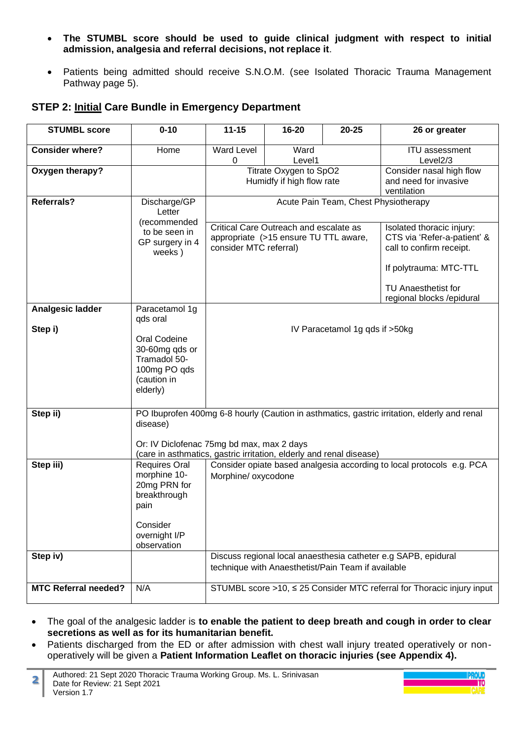- **The STUMBL score should be used to guide clinical judgment with respect to initial admission, analgesia and referral decisions, not replace it**.
- Patients being admitted should receive S.N.O.M. (see Isolated Thoracic Trauma Management Pathway page 5).

## **STEP 2: Initial Care Bundle in Emergency Department**

| <b>STUMBL score</b>         | $0 - 10$                                                                                                                                             | $11 - 15$                                                                                                 | $16 - 20$                                          | 20-25                          | 26 or greater                                                                        |
|-----------------------------|------------------------------------------------------------------------------------------------------------------------------------------------------|-----------------------------------------------------------------------------------------------------------|----------------------------------------------------|--------------------------------|--------------------------------------------------------------------------------------|
| <b>Consider where?</b>      | Home                                                                                                                                                 | <b>Ward Level</b><br>0                                                                                    | Ward<br>Level1                                     |                                | <b>ITU</b> assessment<br>Level <sub>2</sub> /3                                       |
| Oxygen therapy?             |                                                                                                                                                      | Titrate Oxygen to SpO2<br>Humidfy if high flow rate<br>and need for invasive<br>ventilation               |                                                    |                                | Consider nasal high flow                                                             |
| Referrals?                  | Discharge/GP<br>Letter                                                                                                                               | Acute Pain Team, Chest Physiotherapy                                                                      |                                                    |                                |                                                                                      |
|                             | (recommended<br>to be seen in<br>GP surgery in 4<br>weeks)                                                                                           | Critical Care Outreach and escalate as<br>appropriate (>15 ensure TU TTL aware,<br>consider MTC referral) |                                                    |                                | Isolated thoracic injury:<br>CTS via 'Refer-a-patient' &<br>call to confirm receipt. |
|                             |                                                                                                                                                      |                                                                                                           |                                                    |                                | If polytrauma: MTC-TTL                                                               |
|                             |                                                                                                                                                      |                                                                                                           |                                                    |                                | TU Anaesthetist for<br>regional blocks / epidural                                    |
| Analgesic ladder<br>Step i) | Paracetamol 1g<br>qds oral                                                                                                                           |                                                                                                           |                                                    | IV Paracetamol 1g qds if >50kg |                                                                                      |
|                             | Oral Codeine<br>30-60mg qds or<br>Tramadol 50-<br>100mg PO qds<br>(caution in<br>elderly)                                                            |                                                                                                           |                                                    |                                |                                                                                      |
| Step ii)                    | PO Ibuprofen 400mg 6-8 hourly (Caution in asthmatics, gastric irritation, elderly and renal<br>disease)<br>Or: IV Diclofenac 75mg bd max, max 2 days |                                                                                                           |                                                    |                                |                                                                                      |
|                             |                                                                                                                                                      | (care in asthmatics, gastric irritation, elderly and renal disease)                                       |                                                    |                                |                                                                                      |
| Step iii)                   | <b>Requires Oral</b><br>morphine 10-<br>20mg PRN for<br>breakthrough<br>pain                                                                         | Morphine/ oxycodone                                                                                       |                                                    |                                | Consider opiate based analgesia according to local protocols e.g. PCA                |
|                             | Consider<br>overnight I/P<br>observation                                                                                                             |                                                                                                           |                                                    |                                |                                                                                      |
| Step iv)                    |                                                                                                                                                      |                                                                                                           | technique with Anaesthetist/Pain Team if available |                                | Discuss regional local anaesthesia catheter e.g SAPB, epidural                       |
| <b>MTC Referral needed?</b> | N/A                                                                                                                                                  |                                                                                                           |                                                    |                                | STUMBL score >10, ≤ 25 Consider MTC referral for Thoracic injury input               |

- The goal of the analgesic ladder is **to enable the patient to deep breath and cough in order to clear secretions as well as for its humanitarian benefit.**
- Patients discharged from the ED or after admission with chest wall injury treated operatively or nonoperatively will be given a **Patient Information Leaflet on thoracic injuries (see Appendix 4).**

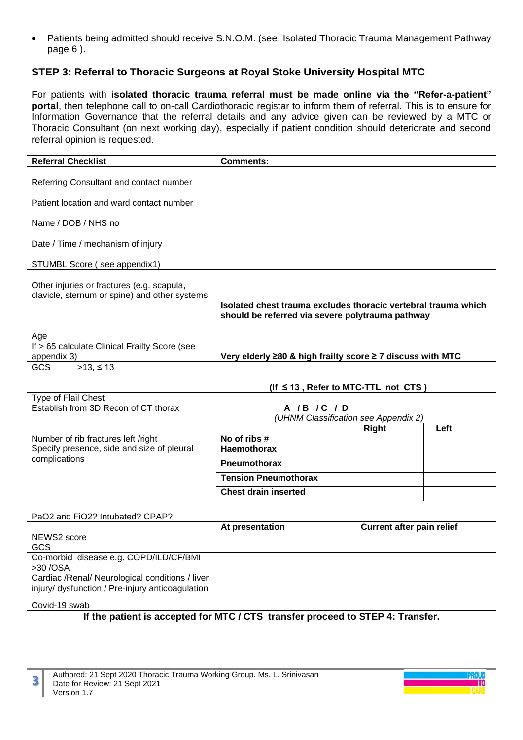• Patients being admitted should receive S.N.O.M. (see: Isolated Thoracic Trauma Management Pathway page 6 ).

# **STEP 3: Referral to Thoracic Surgeons at Royal Stoke University Hospital MTC**

For patients with **isolated thoracic trauma referral must be made online via the "Refer-a-patient" portal**, then telephone call to on-call Cardiothoracic registar to inform them of referral. This is to ensure for Information Governance that the referral details and any advice given can be reviewed by a MTC or Thoracic Consultant (on next working day), especially if patient condition should deteriorate and second referral opinion is requested.

| <b>Referral Checklist</b>                                                                                                                                  | <b>Comments:</b>                                                                                                   |                                  |      |
|------------------------------------------------------------------------------------------------------------------------------------------------------------|--------------------------------------------------------------------------------------------------------------------|----------------------------------|------|
| Referring Consultant and contact number                                                                                                                    |                                                                                                                    |                                  |      |
| Patient location and ward contact number                                                                                                                   |                                                                                                                    |                                  |      |
| Name / DOB / NHS no                                                                                                                                        |                                                                                                                    |                                  |      |
| Date / Time / mechanism of injury                                                                                                                          |                                                                                                                    |                                  |      |
| STUMBL Score (see appendix1)                                                                                                                               |                                                                                                                    |                                  |      |
| Other injuries or fractures (e.g. scapula,<br>clavicle, sternum or spine) and other systems                                                                | Isolated chest trauma excludes thoracic vertebral trauma which<br>should be referred via severe polytrauma pathway |                                  |      |
| Age<br>If > 65 calculate Clinical Frailty Score (see<br>appendix 3)                                                                                        | Very elderly ≥80 & high frailty score ≥ 7 discuss with MTC                                                         |                                  |      |
| $>13, \le 13$<br>GCS                                                                                                                                       | (If $\leq$ 13, Refer to MTC-TTL not CTS)                                                                           |                                  |      |
| Type of Flail Chest<br>Establish from 3D Recon of CT thorax                                                                                                | A /B /C / D<br>(UHNM Classification see Appendix 2)                                                                |                                  |      |
| Number of rib fractures left /right                                                                                                                        | No of ribs #                                                                                                       | <b>Right</b>                     | Left |
| Specify presence, side and size of pleural                                                                                                                 | <b>Haemothorax</b>                                                                                                 |                                  |      |
| complications                                                                                                                                              | Pneumothorax                                                                                                       |                                  |      |
|                                                                                                                                                            | <b>Tension Pneumothorax</b>                                                                                        |                                  |      |
|                                                                                                                                                            | <b>Chest drain inserted</b>                                                                                        |                                  |      |
| PaO2 and FiO2? Intubated? CPAP?                                                                                                                            |                                                                                                                    |                                  |      |
| NEWS2 score<br>GCS                                                                                                                                         | At presentation                                                                                                    | <b>Current after pain relief</b> |      |
| Co-morbid disease e.g. COPD/ILD/CF/BMI<br>>30 / OSA<br>Cardiac /Renal/ Neurological conditions / liver<br>injury/ dysfunction / Pre-injury anticoagulation |                                                                                                                    |                                  |      |
| Covid-19 swab                                                                                                                                              |                                                                                                                    |                                  |      |

**If the patient is accepted for MTC / CTS transfer proceed to STEP 4: Transfer.**



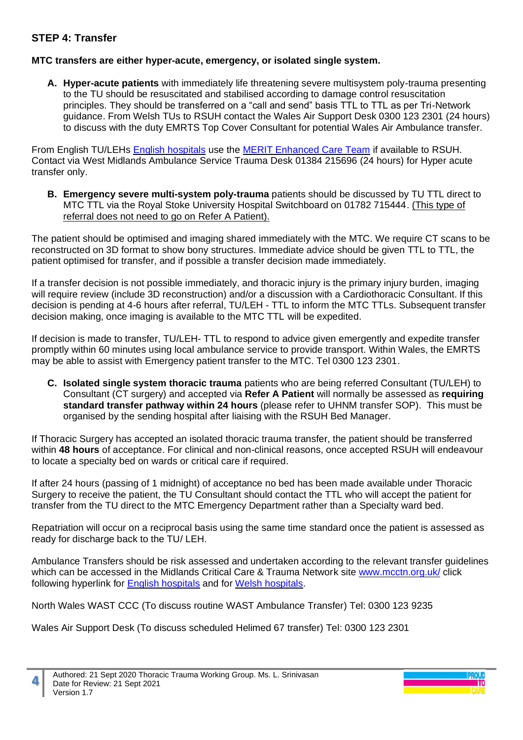## **STEP 4: Transfer**

#### **MTC transfers are either hyper-acute, emergency, or isolated single system.**

**A. Hyper-acute patients** with immediately life threatening severe multisystem poly-trauma presenting to the TU should be resuscitated and stabilised according to damage control resuscitation principles. They should be transferred on a "call and send" basis TTL to TTL as per Tri-Network guidance. From Welsh TUs to RSUH contact the Wales Air Support Desk 0300 123 2301 (24 hours) to discuss with the duty EMRTS Top Cover Consultant for potential Wales Air Ambulance transfer.

From English TU/LEHs [English hospitals](https://nebula.wsimg.com/03221dba03a55d59797b0878f77892d4?AccessKeyId=71C7B1EA5618F4C499E1&disposition=0&alloworigin=1) use the [MERIT Enhanced Care Team](https://nebula.wsimg.com/eb4735f24505fffea59b7087ca96adb0?AccessKeyId=71C7B1EA5618F4C499E1&disposition=0&alloworigin=1) if available to RSUH. Contact via West Midlands Ambulance Service Trauma Desk 01384 215696 (24 hours) for Hyper acute transfer only.

**B. Emergency severe multi-system poly-trauma** patients should be discussed by TU TTL direct to MTC TTL via the Royal Stoke University Hospital Switchboard on 01782 715444. (This type of referral does not need to go on Refer A Patient).

The patient should be optimised and imaging shared immediately with the MTC. We require CT scans to be reconstructed on 3D format to show bony structures. Immediate advice should be given TTL to TTL, the patient optimised for transfer, and if possible a transfer decision made immediately.

If a transfer decision is not possible immediately, and thoracic injury is the primary injury burden, imaging will require review (include 3D reconstruction) and/or a discussion with a Cardiothoracic Consultant. If this decision is pending at 4-6 hours after referral, TU/LEH - TTL to inform the MTC TTLs. Subsequent transfer decision making, once imaging is available to the MTC TTL will be expedited.

If decision is made to transfer, TU/LEH- TTL to respond to advice given emergently and expedite transfer promptly within 60 minutes using local ambulance service to provide transport. Within Wales, the EMRTS may be able to assist with Emergency patient transfer to the MTC. Tel 0300 123 2301.

**C. Isolated single system thoracic trauma** patients who are being referred Consultant (TU/LEH) to Consultant (CT surgery) and accepted via **Refer A Patient** will normally be assessed as **requiring standard transfer pathway within 24 hours** (please refer to UHNM transfer SOP). This must be organised by the sending hospital after liaising with the RSUH Bed Manager.

If Thoracic Surgery has accepted an isolated thoracic trauma transfer, the patient should be transferred within **48 hours** of acceptance. For clinical and non-clinical reasons, once accepted RSUH will endeavour to locate a specialty bed on wards or critical care if required.

If after 24 hours (passing of 1 midnight) of acceptance no bed has been made available under Thoracic Surgery to receive the patient, the TU Consultant should contact the TTL who will accept the patient for transfer from the TU direct to the MTC Emergency Department rather than a Specialty ward bed.

Repatriation will occur on a reciprocal basis using the same time standard once the patient is assessed as ready for discharge back to the TU/ LEH.

Ambulance Transfers should be risk assessed and undertaken according to the relevant transfer guidelines which can be accessed in the Midlands Critical Care & Trauma Network site [www.mcctn.org.uk/](http://www.mcctn.org.uk/)click following hyperlink for [English hospitals](https://nebula.wsimg.com/265e4a15d0b915bca6484bc94d43d28b?AccessKeyId=71C7B1EA5618F4C499E1&disposition=0&alloworigin=1) and for [Welsh hospitals.](https://nebula.wsimg.com/756c8f2ac0efd1e7fb1b8ca340f1b6c0?AccessKeyId=71C7B1EA5618F4C499E1&disposition=0&alloworigin=1)

North Wales WAST CCC (To discuss routine WAST Ambulance Transfer) Tel: 0300 123 9235

Wales Air Support Desk (To discuss scheduled Helimed 67 transfer) Tel: 0300 123 2301

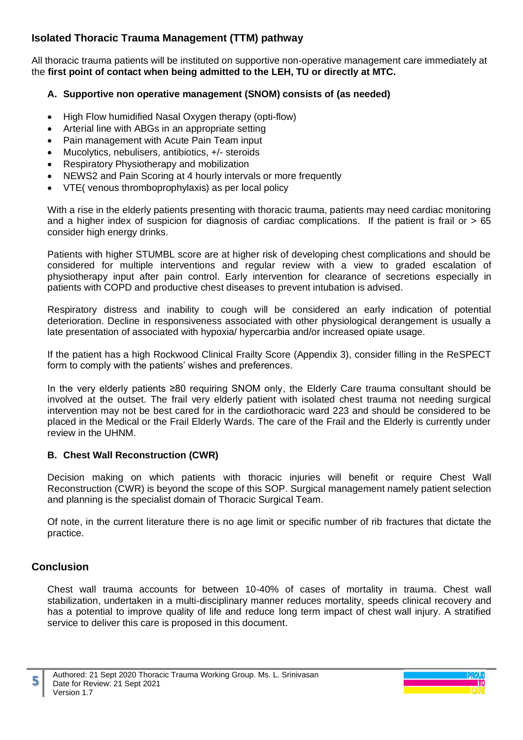# **Isolated Thoracic Trauma Management (TTM) pathway**

All thoracic trauma patients will be instituted on supportive non-operative management care immediately at the **first point of contact when being admitted to the LEH, TU or directly at MTC.** 

#### **A. Supportive non operative management (SNOM) consists of (as needed)**

- High Flow humidified Nasal Oxygen therapy (opti-flow)
- Arterial line with ABGs in an appropriate setting
- Pain management with Acute Pain Team input
- Mucolytics, nebulisers, antibiotics, +/- steroids
- Respiratory Physiotherapy and mobilization
- NEWS2 and Pain Scoring at 4 hourly intervals or more frequently
- VTE( venous thromboprophylaxis) as per local policy

With a rise in the elderly patients presenting with thoracic trauma, patients may need cardiac monitoring and a higher index of suspicion for diagnosis of cardiac complications. If the patient is frail or  $> 65$ consider high energy drinks.

Patients with higher STUMBL score are at higher risk of developing chest complications and should be considered for multiple interventions and regular review with a view to graded escalation of physiotherapy input after pain control. Early intervention for clearance of secretions especially in patients with COPD and productive chest diseases to prevent intubation is advised.

Respiratory distress and inability to cough will be considered an early indication of potential deterioration. Decline in responsiveness associated with other physiological derangement is usually a late presentation of associated with hypoxia/ hypercarbia and/or increased opiate usage.

If the patient has a high Rockwood Clinical Frailty Score (Appendix 3), consider filling in the ReSPECT form to comply with the patients' wishes and preferences.

In the very elderly patients ≥80 requiring SNOM only, the Elderly Care trauma consultant should be involved at the outset. The frail very elderly patient with isolated chest trauma not needing surgical intervention may not be best cared for in the cardiothoracic ward 223 and should be considered to be placed in the Medical or the Frail Elderly Wards. The care of the Frail and the Elderly is currently under review in the UHNM.

#### **B. Chest Wall Reconstruction (CWR)**

Decision making on which patients with thoracic injuries will benefit or require Chest Wall Reconstruction (CWR) is beyond the scope of this SOP. Surgical management namely patient selection and planning is the specialist domain of Thoracic Surgical Team.

Of note, in the current literature there is no age limit or specific number of rib fractures that dictate the practice.

## **Conclusion**

**5**

Chest wall trauma accounts for between 10-40% of cases of mortality in trauma. Chest wall stabilization, undertaken in a multi-disciplinary manner reduces mortality, speeds clinical recovery and has a potential to improve quality of life and reduce long term impact of chest wall injury. A stratified service to deliver this care is proposed in this document.

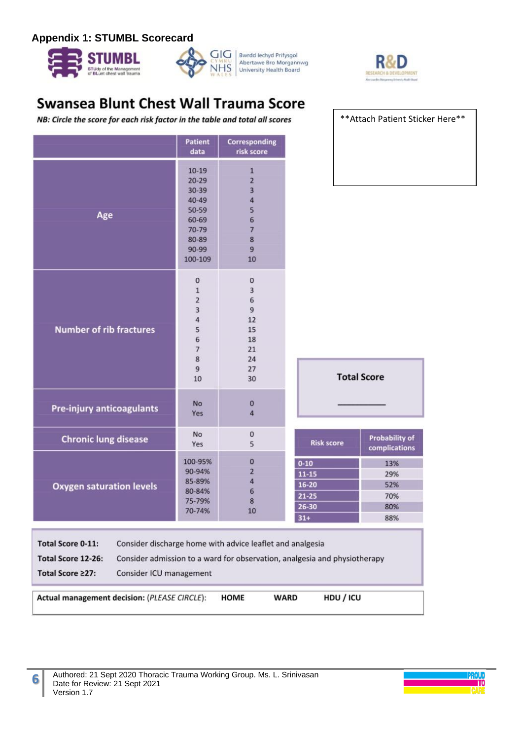#### **Appendix 1: STUMBL Scorecard**









\*\*Attach Patient Sticker Here\*\*

# **Swansea Blunt Chest Wall Trauma Score**

NB: Circle the score for each risk factor in the table and total all scores

|                                                                                                                                                                                                                                         | <b>Patient</b><br>data                                                                                 | Corresponding<br>risk score                                                                 |                                                                   |                                        |
|-----------------------------------------------------------------------------------------------------------------------------------------------------------------------------------------------------------------------------------------|--------------------------------------------------------------------------------------------------------|---------------------------------------------------------------------------------------------|-------------------------------------------------------------------|----------------------------------------|
| Age                                                                                                                                                                                                                                     | $10-19$<br>$20 - 29$<br>$30 - 39$<br>$40 - 49$<br>50-59<br>60-69<br>70-79<br>80-89<br>90-99<br>100-109 | 1<br>$\overline{2}$<br>3<br>$\overline{4}$<br>5<br>6<br>$\overline{7}$<br>8<br>9<br>10      |                                                                   |                                        |
| <b>Number of rib fractures</b>                                                                                                                                                                                                          | $\pmb{0}$<br>$\mathbf{1}$<br>$\overline{c}$<br>3<br>4<br>5<br>6<br>7<br>8<br>$\overline{9}$<br>10      | $\bf{0}$<br>3<br>$\overline{6}$<br>$\overline{9}$<br>12<br>15<br>18<br>21<br>24<br>27<br>30 |                                                                   | <b>Total Score</b>                     |
| Pre-injury anticoagulants                                                                                                                                                                                                               | <b>No</b><br>Yes                                                                                       | 0<br>4                                                                                      |                                                                   |                                        |
| <b>Chronic lung disease</b>                                                                                                                                                                                                             | No<br>Yes                                                                                              | 0<br>5                                                                                      | <b>Risk score</b>                                                 | <b>Probability of</b><br>complications |
| <b>Oxygen saturation levels</b>                                                                                                                                                                                                         | 100-95%<br>90-94%<br>85-89%<br>80-84%<br>75-79%<br>70-74%                                              | $\bf{0}$<br>$\overline{2}$<br>4<br>6<br>8<br>10                                             | $0 - 10$<br>$11 - 15$<br>$16 - 20$<br>$21 - 25$<br>26-30<br>$31+$ | 13%<br>29%<br>52%<br>70%<br>80%<br>88% |
| <b>Total Score 0-11:</b><br>Consider discharge home with advice leaflet and analgesia<br>Total Score 12-26:<br>Consider admission to a ward for observation, analgesia and physiotherapy<br>Total Score ≥27:<br>Consider ICU management |                                                                                                        |                                                                                             |                                                                   |                                        |
| HDU / ICU<br>Actual management decision: (PLEASE CIRCLE):<br>HOME<br><b>WARD</b>                                                                                                                                                        |                                                                                                        |                                                                                             |                                                                   |                                        |

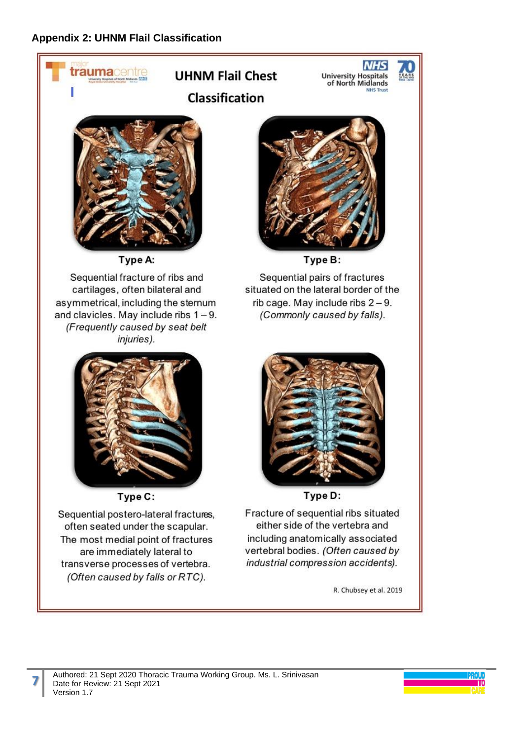

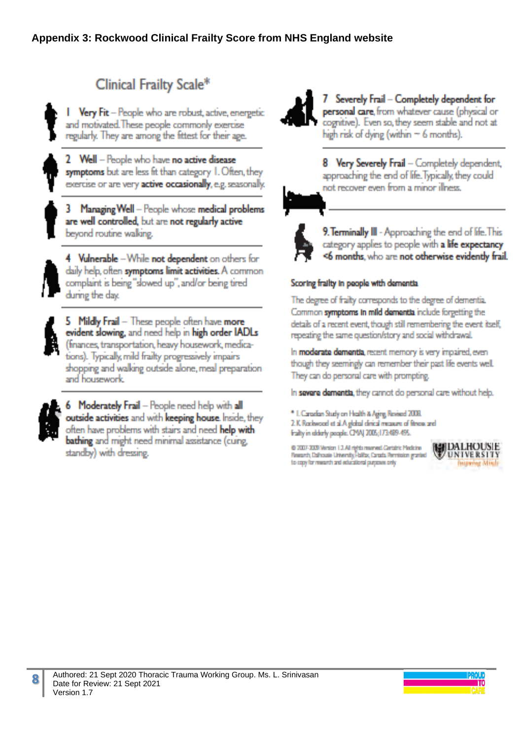# Clinical Frailty Scale\*

Very Fit - People who are robust, active, energetic and motivated. These people commonly exercise regularly. They are among the fittest for their age.

2 Well - People who have no active disease symptoms but are less fit than category 1. Often, they exercise or are very active occasionally, e.g. seasonally.

3 Managing Well - People whose medical problems are well controlled, but are not regularly active beyond routine waking.

4 Vulnerable - While not dependent on others for daily help, often symptoms limit activities. A common complaint is being "slowed up", and/or being tired during the day.

5 Mildly Frail - These people often have more evident slowing, and need help in high order IADLs (finances, transportation, heavy housework, medications). Typically, mild frailty progressively impairs shopping and walking outside alone, meal preparation and housework.



**8**

6 Moderately Frail - People need help with all outside activities and with keeping house. Inside, they often have problems with stairs and need help with bathing and might need minimal assistance (cuing, standby) with dressing.



Severely Frail - Completely dependent for personal care, from whatever cause (physical or cognitive). Even so, they seem stable and not at high risk of dying (within  $\sim$  6 months).

8 Very Severely Frail - Completely dependent, approaching the end of life. Typically, they could not recover even from a minor illness.



9. Terminally III - Approaching the end of life. This category applies to people with a life expectancy <6 months, who are not otherwise evidently frail.

#### Scoring frailty in people with dementia

The degree of frailty corresponds to the degree of dementia. Common symptoms in mild dementia include forgetting the detals of a recent event, though still remembering the event itself, repeating the same question/story and social withdrawal.

In moderate dementia, recent memory is very impaired, even though they seemingly can remember their past life events well. They can do personal care with prompting.

In severe dementia, they cannot do personal care without help.

\* I. Canadian Study on Health & Aging Revised 2008.

2.K Rackwood et al.A global clinical measure of fitness and fraity in elderly people. CMAJ 2005;173489-495.

@ 2007-2009 Venton 1.2. All rights manneed Cantains Medicine Research, Dalhousie University Failby, Canada Permission granted to capy for margeth and aductional purposes only



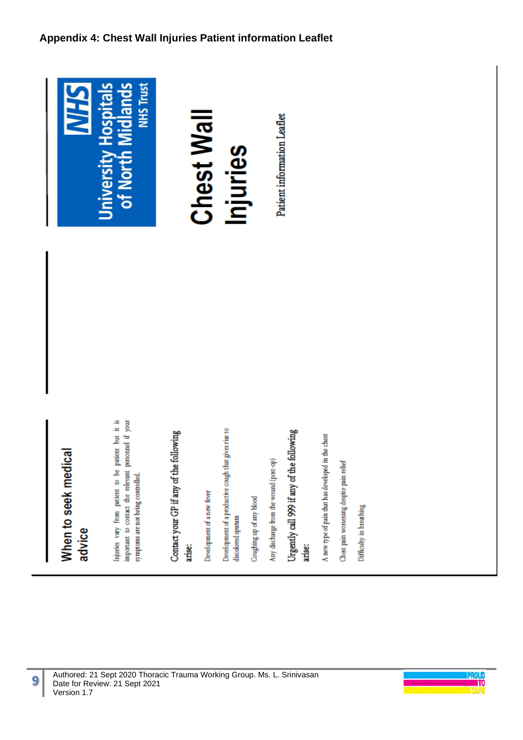# **Appendix 4: Chest Wall Injuries Patient information Leaflet**



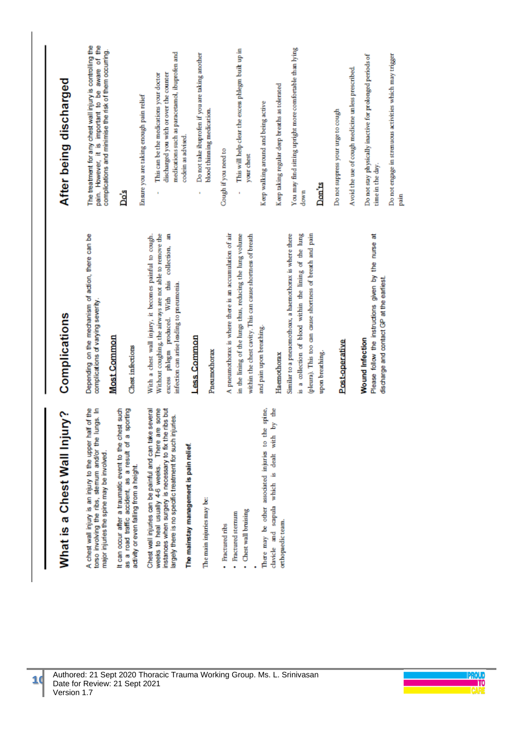| After being discharged       | pain. However, it is important to be aware of the<br>The treatment for any chest wall injury is controlling the<br>complications and minimise the risk of them occurring.<br>Do's                                                                                                                                            | medications such as paracetamol, ibuprofen and<br>Do not take ibuprofen if you are taking another<br>discharged you with or over the counter<br>This can be the medications your doctor<br>Ensure you are taking enough pain relief<br>blood thinning medication.<br>codein as advised.<br>collection, an     | You may find sitting upright more comfortable than lying<br>This will help clear the excess phlegm built up in<br>Keep taking regular deep breaths as tolerated<br>Keep walking around and being active<br>Cough if you need to<br>your chest                                                                                                       | Do not stay physically inactive for prolonged periods of<br>Do not engage in strenuous activities which may trigger<br>Avoid the use of cough medicine unless prescribed.<br>Do not suppress your urge to cough<br>time in the day.<br>Don'ts<br>down<br>pain |
|------------------------------|------------------------------------------------------------------------------------------------------------------------------------------------------------------------------------------------------------------------------------------------------------------------------------------------------------------------------|---------------------------------------------------------------------------------------------------------------------------------------------------------------------------------------------------------------------------------------------------------------------------------------------------------------|-----------------------------------------------------------------------------------------------------------------------------------------------------------------------------------------------------------------------------------------------------------------------------------------------------------------------------------------------------|---------------------------------------------------------------------------------------------------------------------------------------------------------------------------------------------------------------------------------------------------------------|
| Complications                | Depending on the mechanism of action, there can be<br>complications of varying severity.<br><b>Most Common</b><br>Chest infections                                                                                                                                                                                           | Without coughing, the airways are not able to remove the<br>With a chest wall injury, it becomes painful to cough.<br>With this<br>infection can arise leading to pneumonia.<br>excess phlegm produced.<br>Less Common<br>Pneumothorax                                                                        | A pneumothorax is where there is an accumulation of air<br>within the chest cavity. This can cause shortness of breath<br>is a collection of blood within the lining of the lung<br>in the lining of the lungs thus, reducing the lung volume<br>Similar to a pneuomothoax, a haemothorax is where there<br>and pain upon breathing.<br>Haemothorax | (pleura). This too can cause shortness of breath and pain<br>Please follow the instructions given by the nurse at<br>discharge and contact GP at the earliest.<br><b>Wound Infection</b><br>Post-operative<br>upon breathing.                                 |
| What is a Chest Wall Injury? | A chest wall injury is an injury to the upper half of the<br>torso involving the ribs, stemum and/or the lungs. In<br>It can occur after a traumatic event to the chest such<br>as a road traffic accident, as a result of a sporting<br>major injuries the spine may be involved<br>activity or even falling from a height. | Chest wall injuries can be painful and can take several<br>some<br>instances when surgery is necessary to fix the ribs but<br>largely there is no specific treatment for such injuries.<br>weeks to heal usually 4-6 weeks. There are<br>The mainstay management is pain relief.<br>The main injuries may be: | ď<br>spine,<br>clavicle and scapula which is dealt with by<br>There may be other associated injuries to the<br>· Chest wall bruising<br>· Fractured sternum<br>orthopaedic team.<br>· Fractured ribs                                                                                                                                                |                                                                                                                                                                                                                                                               |

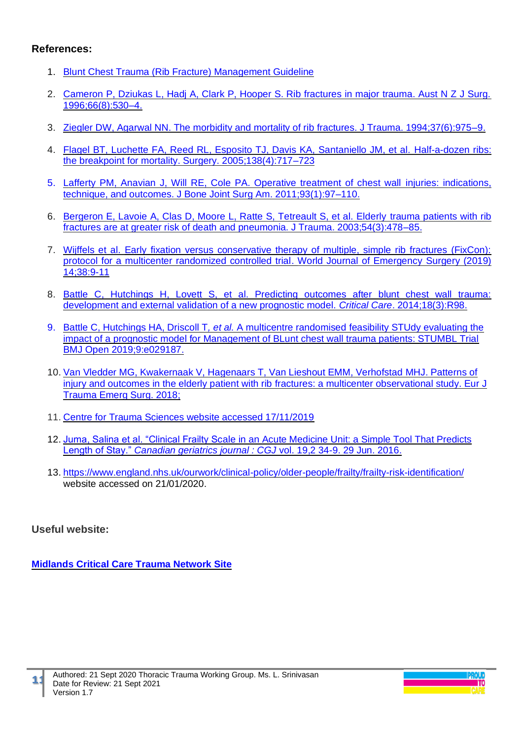### **References:**

- 1. [Blunt Chest Trauma \(Rib Fracture\) Management Guideline](https://nebula.wsimg.com/cd8ce1abef57b525b40ea8897bc4a7d4?AccessKeyId=71C7B1EA5618F4C499E1&disposition=0&alloworigin=1)
- 2. [Cameron P, Dziukas L, Hadj A, Clark P, Hooper S. Rib fractures in major trauma. Aust N Z J Surg.](https://onlinelibrary.wiley.com/doi/abs/10.1111/j.1445-2197.1996.tb00803.x?sid=nlm%3Apubmed)  [1996;66\(8\):530–4.](https://onlinelibrary.wiley.com/doi/abs/10.1111/j.1445-2197.1996.tb00803.x?sid=nlm%3Apubmed)
- 3. [Ziegler DW, Agarwal NN. The morbidity and mortality of rib fractures. J Trauma. 1994;37\(6\):975–9.](https://www.ncbi.nlm.nih.gov/pubmed/?term=3.%09Ziegler+DW%2C+Agarwal+NN.+The+morbidity+and+mortality+of+rib+fractures.+J+Trauma.+1994%3B37(6)%3A975%E2%80%939.)
- 4. [Flagel BT, Luchette FA, Reed RL, Esposito TJ, Davis KA, Santaniello JM, et al.](https://www.ncbi.nlm.nih.gov/pubmed/?term=4.%09Flagel+BT%2C+Luchette+FA%2C+Reed+RL%2C+Esposito+TJ%2C+Davis+KA%2C+Santaniello+JM%2C+et+al.+Half-a-dozen+ribs%3A+the+breakpoint+for+mortality.+Surgery.+2005%3B138(4)%3A717%E2%80%93723) Half-a-dozen ribs: [the breakpoint for mortality. Surgery. 2005;138\(4\):717–723](https://www.ncbi.nlm.nih.gov/pubmed/?term=4.%09Flagel+BT%2C+Luchette+FA%2C+Reed+RL%2C+Esposito+TJ%2C+Davis+KA%2C+Santaniello+JM%2C+et+al.+Half-a-dozen+ribs%3A+the+breakpoint+for+mortality.+Surgery.+2005%3B138(4)%3A717%E2%80%93723)
- 5. [Lafferty PM, Anavian J, Will RE, Cole PA. Operative treatment of chest wall](https://www.ncbi.nlm.nih.gov/pubmed/21209274) injuries: indications, [technique, and outcomes. J Bone Joint Surg Am. 2011;93\(1\):97–110.](https://www.ncbi.nlm.nih.gov/pubmed/21209274)
- 6. [Bergeron E, Lavoie A, Clas D, Moore L, Ratte S, Tetreault S, et al. Elderly](https://www.ncbi.nlm.nih.gov/pubmed/?term=6.%09Bergeron+E%2C+Lavoie+A%2C+Clas+D%2C+Moore+L%2C+Ratte+S%2C+Tetreault+S%2C+et+al.+Elderly+trauma+patients+with+rib+fractures+are+at+greater+risk+of+death+and+pneumonia.+J+Trauma.+2003%3B54(3)%3A478%E2%80%9385.) trauma patients with rib [fractures are at greater risk of death and pneumonia. J Trauma. 2003;54\(3\):478–85.](https://www.ncbi.nlm.nih.gov/pubmed/?term=6.%09Bergeron+E%2C+Lavoie+A%2C+Clas+D%2C+Moore+L%2C+Ratte+S%2C+Tetreault+S%2C+et+al.+Elderly+trauma+patients+with+rib+fractures+are+at+greater+risk+of+death+and+pneumonia.+J+Trauma.+2003%3B54(3)%3A478%E2%80%9385.)
- 7. [Wijffels et al. Early fixation versus conservative therapy of multiple, simple rib fractures \(FixCon\):](https://wjes.biomedcentral.com/articles/10.1186/s13017-019-0258-x)  [protocol for a multicenter randomized controlled trial. World Journal of Emergency](https://wjes.biomedcentral.com/articles/10.1186/s13017-019-0258-x) Surgery (2019) [14;38:9-11](https://wjes.biomedcentral.com/articles/10.1186/s13017-019-0258-x)
- 8. [Battle C, Hutchings H, Lovett S, et al. Predicting outcomes after blunt chest wall trauma:](https://ccforum.biomedcentral.com/articles/10.1186/cc13873)  [development and external validation of a new prognostic model.](https://ccforum.biomedcentral.com/articles/10.1186/cc13873) *Critical Care*. 2014;18(3):R98.
- 9. [Battle C, Hutchings HA, Driscoll T](https://bmjopen.bmj.com/content/9/7/e029187)*, et al.* A multicentre randomised feasibility STUdy evaluating the [impact of a prognostic model for Management of BLunt chest wall trauma patients: STUMBL Trial](https://bmjopen.bmj.com/content/9/7/e029187) [BMJ Open 2019;9:e029187.](https://bmjopen.bmj.com/content/9/7/e029187)
- 10. Van Vledder MG, Kwakernaak V, [Hagenaars T, Van Lieshout EMM, Verhofstad](https://www.ncbi.nlm.nih.gov/pmc/articles/PMC6689021/) MHJ. Patterns of injury and outcomes in the elderly patient with rib [fractures: a multicenter observational study. Eur J](https://www.ncbi.nlm.nih.gov/pmc/articles/PMC6689021/)  [Trauma Emerg Surg. 2018;](https://www.ncbi.nlm.nih.gov/pmc/articles/PMC6689021/)
- 11. [Centre for Trauma Sciences website accessed 17/11/2019](https://www.c4ts.qmul.ac.uk/current-natric-studies/stumbl2)
- 12. [Juma, Salina et al. "Clinical Frailty Scale in an Acute Medicine Unit: a Simple Tool That Predicts](https://www.ncbi.nlm.nih.gov/pmc/articles/PMC4922366/pdf/cgj-19-34.pdf)  Length of Stay." *[Canadian geriatrics journal : CGJ](https://www.ncbi.nlm.nih.gov/pmc/articles/PMC4922366/pdf/cgj-19-34.pdf)* vol. 19,2 34-9. 29 Jun. 2016.
- 13. <https://www.england.nhs.uk/ourwork/clinical-policy/older-people/frailty/frailty-risk-identification/> website accessed on 21/01/2020.

## **Useful website:**

**[Midlands Critical Care Trauma Network Site](https://www.mcctn.org.uk/guidelines-and-protocols.html)**